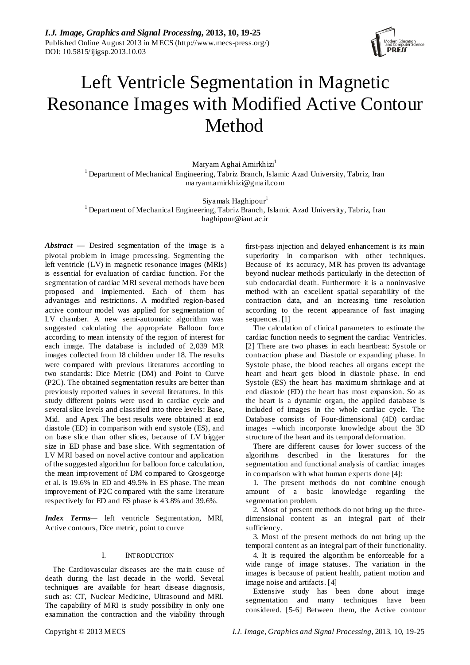*I.J. Image, Graphics and Signal Processing,* **2013, 10, 19-25** Published Online August 2013 in MECS (http://www.mecs-press.org/) DOI: 10.5815/ijigsp.2013.10.03



# Left Ventricle Segmentation in Magnetic Resonance Images with Modified Active Contour Method

Maryam Aghai Amirkhizi<sup>1</sup> <sup>1</sup> Department of Mechanical Engineering, Tabriz Branch, Islamic Azad University, Tabriz, Iran maryam.amirkhizi@gmail.com

Siyamak Haghipour 1 <sup>1</sup> Department of Mechanical Engineering, Tabriz Branch, Islamic Azad University, Tabriz, Iran haghipour@iaut.ac.ir

*Abstract* — Desired segmentation of the image is a pivotal problem in image processing. Segmenting the left ventricle (LV) in magnetic resonance images (MRIs) is essential for evaluation of cardiac function. For the segmentation of cardiac MRI several methods have been proposed and implemented. Each of them has advantages and restrictions. A modified region-based active contour model was applied for segmentation of LV chamber. A new semi-automatic algorithm was suggested calculating the appropriate Balloon force according to mean intensity of the region of interest for each image. The database is included of 2,039 MR images collected from 18 children under 18. The results were compared with previous literatures according to two standards: Dice Metric (DM) and Point to Curve (P2C). The obtained segmentation results are better than previously reported values in several literatures. In this study different points were used in cardiac cycle and several slice levels and classified into three levels: Base, Mid. and Apex. The best results were obtained at end diastole (ED) in comparison with end systole (ES), and on base slice than other slices, because of LV bigger size in ED phase and base slice. With segmentation of LV MRI based on novel active contour and application of the suggested algorithm for balloon force calculation, the mean improvement of DM compared to Grosgeorge et al. is 19.6% in ED and 49.5% in ES phase. The mean improvement of P2C compared with the same literature respectively for ED and ES phase is 43.8% and 39.6%.

*Index Terms—* left ventricle Segmentation, MRI, Active contours, Dice metric, point to curve

## I. INTRODUCTION

The Cardiovascular diseases are the main cause of death during the last decade in the world. Several techniques are available for heart disease diagnosis, such as: CT, Nuclear Medicine, Ultrasound and MRI. The capability of MRI is study possibility in only one examination the contraction and the viability through

first-pass injection and delayed enhancement is its main superiority in comparison with other techniques. Because of its accuracy, MR has proven its advantage beyond nuclear methods particularly in the detection of sub endocardial death. Furthermore it is a noninvasive method with an excellent spatial separability of the contraction data, and an increasing time resolution according to the recent appearance of fast imaging sequences. [1]

The calculation of clinical parameters to estimate the cardiac function needs to segment the cardiac Ventricles. [2] There are two phases in each heartbeat: Systole or contraction phase and Diastole or expanding phase. In Systole phase, the blood reaches all organs except the heart and heart gets blood in diastole phase. In end Systole (ES) the heart has maximum shrinkage and at end diastole (ED) the heart has most expansion. So as the heart is a dynamic organ, the applied database is included of images in the whole cardiac cycle. The Database consists of Four-dimensional (4D) cardiac images –which incorporate knowledge about the 3D structure of the heart and its temporal deformation.

There are different causes for lower success of the algorithms described in the literatures for the segmentation and functional analysis of cardiac images in comparison with what human experts done [4]:

1. The present methods do not combine enough amount of a basic knowledge regarding the segmentation problem.

2. Most of present methods do not bring up the threedimensional content as an integral part of their sufficiency.

3. Most of the present methods do not bring up the temporal content as an integral part of their functionality.

4. It is required the algorithm be enforceable for a wide range of image statuses. The variation in the images is because of patient health, patient motion and image noise and artifacts. [4]

Extensive study has been done about image segmentation and many techniques have been considered. [5-6] Between them, the Active contour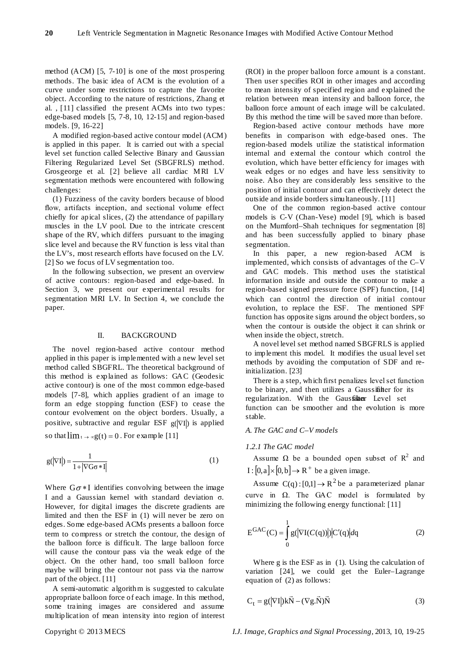method (ACM) [5, 7-10] is one of the most prospering methods. The basic idea of ACM is the evolution of a curve under some restrictions to capture the favorite object. According to the nature of restrictions, Zhang et al. , [11] classified the present ACMs into two types: edge-based models [5, 7-8, 10, 12-15] and region-based models. [9, 16-22]

A modified region-based active contour model (ACM) is applied in this paper. It is carried out with a special level set function called Selective Binary and Gaussian Filtering Regularized Level Set (SBGFRLS) method. Grosgeorge et al. [2] believe all cardiac MRI LV segmentation methods were encountered with following challenges:

(1) Fuzziness of the cavity borders because of blood flow, artifacts inception, and sectional volume effect chiefly for apical slices, (2) the attendance of papillary muscles in the LV pool. Due to the intricate crescent shape of the RV, which differs pursuant to the imaging slice level and because the RV function is less vital than the LV's, most research efforts have focused on the LV. [2] So we focus of LV segmentation too.

In the following subsection, we present an overview of active contours: region-based and edge-based. In Section 3, we present our experimental results for segmentation MRI LV. In Section 4, we conclude the paper.

### II. BACKGROUND

The novel region-based active contour method applied in this paper is implemented with a new level set method called SBGFRL. The theoretical background of this method is explained as follows: GAC (Geodesic active contour) is one of the most common edge-based models [7-8], which applies gradient of an image to form an edge stopping function (ESF) to cease the contour evolvement on the object borders. Usually, a positive, subtractive and regular ESF  $g(|\nabla I|)$  is applied

so that  $\lim_{x \to \infty} g(t) = 0$ . For example [11]

$$
g(|\nabla I|) = \frac{1}{1 + |\nabla G \sigma * I|}
$$
 (1)

Where  $G\sigma * I$  identifies convolving between the image I and a Gaussian kernel with standard deviation σ. However, for digital images the discrete gradients are limited and then the ESF in (1) will never be zero on edges. Some edge-based ACMs presents a balloon force term to compress or stretch the contour, the design of the balloon force is difficult. The large balloon force will cause the contour pass via the weak edge of the object. On the other hand, too small balloon force maybe will bring the contour not pass via the narrow part of the object. [11]

A semi-automatic algorithm is suggested to calculate appropriate balloon force of each image. In this method, some training images are considered and assume multiplication of mean intensity into region of interest

(ROI) in the proper balloon force amount is a constant. Then user specifies ROI in other images and according to mean intensity of specified region and explained the relation between mean intensity and balloon force, the balloon force amount of each image will be calculated. By this method the time will be saved more than before.

Region-based active contour methods have more benefits in comparison with edge-based ones. The region-based models utilize the statistical information internal and external the contour which control the evolution, which have better efficiency for images with weak edges or no edges and have less sensitivity to noise. Also they are considerably less sensitive to the position of initial contour and can effectively detect the outside and inside borders simultaneously. [11]

One of the common region-based active contour models is C-V (Chan-Vese) model [9], which is based on the Mumford–Shah techniques for segmentation [8] and has been successfully applied to binary phase segmentation.

In this paper, a new region-based ACM is implemented, which consists of advantages of the C–V and GAC models. This method uses the statistical information inside and outside the contour to make a region-based signed pressure force (SPF) function, [14] which can control the direction of initial contour evolution, to replace the ESF. The mentioned SPF function has opposite signs around the object borders, so when the contour is outside the object it can shrink or when inside the object, stretch.

A novel level set method named SBGFRLS is applied to implement this model. It modifies the usual level set methods by avoiding the computation of SDF and reinitialization. [23]

There is a step, which first penalizes level set function to be binary, and then utilizes a Gaussifilter for its regularization. With the Gaussillaer Level set function can be smoother and the evolution is more stable.

# *A. The GAC and C–V models*

#### *1.2.1 The GAC model*

Assume  $\Omega$  be a bounded open subset of  $R^2$  and  $I : [0, a] \times [0, b] \rightarrow R^+$  be a given image.

Assume  $C(q) : [0,1] \rightarrow R^2$  be a parameterized planar curve in  $\Omega$ . The GAC model is formulated by minimizing the following energy functional: [11]

$$
E^{GAC}(C) = \int_{0}^{1} g(|\nabla I(C(q))|) |C'(q)| dq
$$
 (2)

Where g is the ESF as in (1). Using the calculation of variation [24], we could get the Euler–Lagrange equation of (2) as follows:

$$
C_t = g(\left|\nabla I\right|)k\vec{N} - (\nabla g.\vec{N})\vec{N}
$$
\n(3)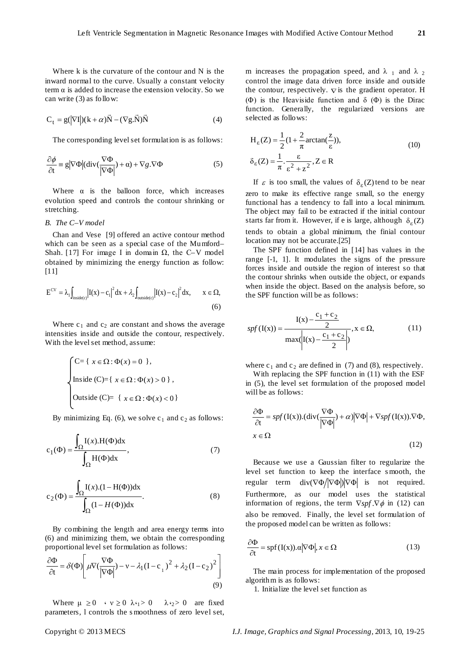Where k is the curvature of the contour and N is the inward normal to the curve. Usually a constant velocity term  $\alpha$  is added to increase the extension velocity. So we can write (3) as follow:

$$
C_t = g(|\nabla I|)(k+\alpha)\vec{N} - (\nabla g.\vec{N})\vec{N}
$$
 (4)

The corresponding level set formulation is as follows:

$$
\frac{\partial \phi}{\partial t} = g |\nabla \Phi| (\text{div}(\frac{\nabla \Phi}{|\nabla \Phi|}) + \alpha) + \nabla g. \nabla \Phi \tag{5}
$$

Where  $\alpha$  is the balloon force, which increases evolution speed and controls the contour shrinking or stretching.

# *B. The C–V model*

Chan and Vese [9] offered an active contour method which can be seen as a special case of the Mumford– Shah. [17] For image I in domain  $\Omega$ , the C–V model obtained by minimizing the energy function as follow: [11]

$$
E^{CV} = \lambda_1 \int_{\text{inside}(c)} \left| I(x) - c_1 \right|^2 dx + \lambda_2 \int_{\text{outside}(c)} \left| I(x) - c_2 \right|^2 dx, \qquad x \in \Omega,
$$
\n
$$
(6)
$$

Where  $c_1$  and  $c_2$  are constant and shows the average intensities inside and outside the contour, respectively. With the level set method, assume:

$$
\begin{cases}\nC = \{ x \in \Omega : \Phi(x) = 0 \}, \\
\text{Inside } (C) = \{ x \in \Omega : \Phi(x) > 0 \}, \\
\text{Outside } (C) = \{ x \in \Omega : \Phi(x) < 0 \}\n\end{cases}
$$

By minimizing Eq. (6), we solve  $c_1$  and  $c_2$  as follows:

$$
c_1(\Phi) = \frac{\int_{\Omega} I(x).H(\Phi)dx}{\int_{\Omega} H(\Phi)dx},
$$
\n(7)

$$
c_2(\Phi) = \frac{\int_{\Omega} I(x) \cdot (1 - H(\Phi)) dx}{\int_{\Omega} (1 - H(\Phi)) dx}.
$$
 (8)

By combining the length and area energy terms into (6) and minimizing them, we obtain the corresponding proportional level set formulation as follows:

$$
\frac{\partial \Phi}{\partial t} = \delta(\Phi) \left[ \mu \nabla (\frac{\nabla \Phi}{|\nabla \Phi|}) - \nu - \lambda_1 (I - c_1)^2 + \lambda_2 (I - c_2)^2 \right] \tag{9}
$$

Where  $\mu \ge 0$   $\lambda \le 0$   $\lambda \le 0$   $\lambda \le 0$  are fixed parameters, l controls the s moothness of zero level set, m increases the propagation speed, and  $\lambda_1$  and  $\lambda_2$ the contour, respectively.  $\nabla$  is the gradient operator. H control the image data driven force inside and outside (Φ) is the Heaviside function and  $\delta$  (Φ) is the Dirac function. Generally, the regularized versions are selected as follows:

$$
H_{\varepsilon}(Z) = \frac{1}{2} (1 + \frac{2}{\pi} \arctan(\frac{Z}{\varepsilon})),
$$
  
\n
$$
\delta_{\varepsilon}(Z) = \frac{1}{\pi} \cdot \frac{\varepsilon}{\varepsilon^2 + z^2}, Z \in \mathbb{R}
$$
\n(10)

If  $\varepsilon$  is too small, the values of  $\delta_{\varepsilon}(Z)$  tend to be near zero to make its effective range small, so the energy functional has a tendency to fall into a local minimum. The object may fail to be extracted if the initial contour starts far from it. However, if e is large, although  $\delta_{\epsilon}(Z)$ tends to obtain a global minimum, the finial contour location may not be accurate.[25]

The SPF function defined in [14] has values in the range [-1, 1]. It modulates the signs of the pressure forces inside and outside the region of interest so that the contour shrinks when outside the object, or expands when inside the object. Based on the analysis before, so the SPF function will be as follows:

$$
spf(I(x)) = \frac{I(x) - \frac{c_1 + c_2}{2}}{\max\left(\left|I(x) - \frac{c_1 + c_2}{2}\right|\right)}, x \in \Omega,
$$
\n(11)

where  $c_1$  and  $c_2$  are defined in (7) and (8), respectively.

With replacing the SPF function in (11) with the ESF in (5), the level set formulation of the proposed model will be as follows:

$$
\frac{\partial \Phi}{\partial t} = spf(I(x)).(\text{div}(\frac{\nabla \Phi}{|\nabla \Phi|}) + \alpha)|\nabla \Phi| + \nabla spf(I(x)).\nabla \Phi,
$$
  

$$
x \in \Omega
$$
 (12)

Because we use a Gaussian filter to regularize the level set function to keep the interface s mooth, the regular term div( $\nabla \Phi / |\nabla \Phi|$ ) $|\nabla \Phi|$  is not required. Furthermore, as our model uses the statistical information of regions, the term  $\nabla s p f \cdot \nabla \phi$  in (12) can also be removed. Finally, the level set formulation of the proposed model can be written as follows:

$$
\frac{\partial \Phi}{\partial t} = \text{spf}(I(x)).\alpha |\nabla \Phi|, x \in \Omega \tag{13}
$$

The main process for implementation of the proposed algorithm is as follows:

1. Initialize the level set function as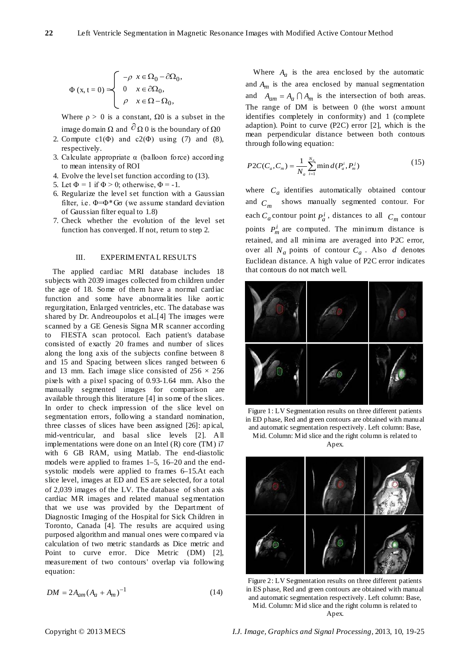$$
\Phi(x, t = 0) = \begin{cases}\n-\rho & x \in \Omega_0 - \partial\Omega_0, \\
0 & x \in \partial\Omega_0, \\
\rho & x \in \Omega - \Omega_0,\n\end{cases}
$$

Where  $\rho > 0$  is a constant,  $\Omega 0$  is a subset in the

- image domain Ω and  $\partial$  Ω 0 is the boundary of Ω0
- 2. Compute  $c1(\Phi)$  and  $c2(\Phi)$  using (7) and (8), respectively.
- 3. Calculate appropriate  $\alpha$  (balloon force) according to mean intensity of ROI
- 4. Evolve the level set function according to (13).
- 5. Let  $\Phi = 1$  if  $\Phi > 0$ ; otherwise,  $\Phi = -1$ .
- 6. Regularize the level set function with a Gaussian filter, i.e.  $\Phi = \Phi^*G\sigma$  (we assume standard deviation of Gaussian filter equal to 1.8)
- 7. Check whether the evolution of the level set function has converged. If not, return to step 2.

## III. EXPERIMENTAL RESULTS

The applied cardiac MRI database includes 18 subjects with 2039 images collected from children under the age of 18. Some of them have a normal cardiac function and some have abnormalities like aortic regurgitation, Enlarged ventricles, etc. The database was shared by Dr. Andreoupolos et al..[4] The images were scanned by a GE Genesis Signa MR scanner according to FIESTA scan protocol. Each patient's database consisted of exactly 20 frames and number of slices along the long axis of the subjects confine between 8 and 15 and Spacing between slices ranged between 6 and 13 mm. Each image slice consisted of  $256 \times 256$ pixels with a pixel spacing of 0.93-1.64 mm. Also the manually segmented images for comparison are available through this literature [4] in some of the slices. In order to check impression of the slice level on segmentation errors, following a standard nomination, three classes of slices have been assigned [26]: apical, mid-ventricular, and basal slice levels [2]. All implementations were done on an Intel (R) core (TM) i7 with 6 GB RAM, using Matlab. The end-diastolic models were applied to frames 1–5, 16–20 and the endsystolic models were applied to frames 6–15.At each slice level, images at ED and ES are selected, for a total of 2,039 images of the LV. The database of short axis cardiac MR images and related manual segmentation that we use was provided by the Department of Diagnostic Imaging of the Hospital for Sick Children in Toronto, Canada [4]. The results are acquired using purposed algorithm and manual ones were compared via calculation of two metric standards as Dice metric and Point to curve error. Dice Metric (DM) [2], measurement of two contours' overlap via following equation:

$$
DM = 2A_{am}(A_a + A_m)^{-1}
$$
 (14)

Where  $A_a$  is the area enclosed by the automatic and  $A_m$  is the area enclosed by manual segmentation and  $A_{am} = A_a \cap A_m$  is the intersection of both areas. The range of DM is between 0 (the worst amount identifies completely in conformity) and 1 (complete adaption). Point to curve (P2C) error [2], which is the mean perpendicular distance between both contours through following equation:

$$
P2C(C_a, C_m) = \frac{1}{N_a} \sum_{i=1}^{N_a} \min d(P_a^i, P_m^j)
$$
 (15)

where  $C_a$  identifies automatically obtained contour and  $C_m$  shows manually segmented contour. For each  $C_a$  contour point  $P_a^i$ , distances to all  $C_m$  contour points  $P_m^i$  are computed. The minimum distance is retained, and all minima are averaged into P2C error, over all  $N_a$  points of contour  $C_a$ . Also  $d$  denotes Euclidean distance. A high value of P2C error indicates that contours do not match well.



Figure 1: LV Segmentation results on three different patients in ED phase, Red and green contours are obtained with manual and automatic segmentation respectively. Left column: Base, Mid. Column: Mid slice and the right column is related to

Apex.



Figure 2: LV Segmentation results on three different patients in ES phase, Red and green contours are obtained with manual and automatic segmentation respectively. Left column: Base, Mid. Column: Mid slice and the right column is related to Apex.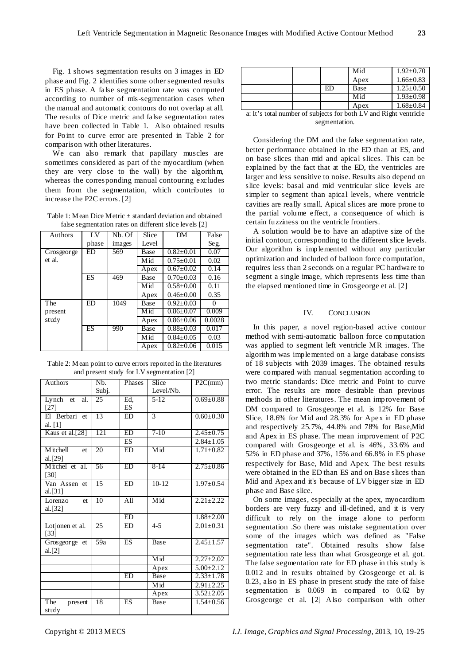Fig. 1 shows segmentation results on 3 images in ED phase and Fig. 2 identifies some other segmented results in ES phase. A false segmentation rate was computed according to number of mis-segmentation cases when the manual and automatic contours do not overlap at all. The results of Dice metric and false segmentation rates have been collected in Table 1. Also obtained results for Point to curve error are presented in Table 2 for comparison with other literatures.

We can also remark that papillary muscles are sometimes considered as part of the myocardium (when they are very close to the wall) by the algorithm, whereas the corresponding manual contouring excludes them from the segmentation, which contributes to increase the P2C errors. [2]

Table 1: Mean Dice Metric  $\pm$  standard deviation and obtained false segmentation rates on different slice levels [2]

| Authors      | LV    | Nb. Of | Slice | DM              | False    |
|--------------|-------|--------|-------|-----------------|----------|
|              | phase | images | Level |                 | Seg.     |
| Gros geor ge | ED    | 569    | Base  | $0.82 + 0.01$   | 0.07     |
| et al.       |       |        | Mid   | $0.75 \pm 0.01$ | 0.02     |
|              |       |        | Apex  | $0.67 \pm 0.02$ | 0.14     |
|              | ES    | 469    | Base  | $0.70 + 0.03$   | 0.16     |
|              |       |        | Mid   | $0.58 \pm 0.00$ | 0.11     |
|              |       |        | Apex  | $0.46 + 0.00$   | 0.35     |
| The          | ED    | 1049   | Base  | $0.92 + 0.03$   | $\theta$ |
| present      |       |        | Mid   | $0.86 + 0.07$   | 0.009    |
| study        |       |        | Apex  | $0.86 + 0.06$   | 0.0028   |
|              | ES    | 990    | Base  | $0.88 \pm 0.03$ | 0.017    |
|              |       |        | Mid   | $0.84 + 0.05$   | 0.03     |
|              |       |        | Apex  | $0.82 \pm 0.06$ | 0.015    |

Table 2: Mean point to curve errors reported in the literatures and present study for LV segmentation [2]

| Authors                  | N <sub>b</sub> | Phases          | Slice         | P2C(mm)         |
|--------------------------|----------------|-----------------|---------------|-----------------|
|                          | Subj.          |                 | Level/Nb.     |                 |
| Lynch et<br>al.          | 25             | Ed,             | $5 - 12$      | $0.69 \pm 0.88$ |
| $[27]$                   |                | ES              |               |                 |
| El Berbari et            | 13             | ED              | $\mathcal{R}$ | $0.60 \pm 0.30$ |
| al. [1]                  |                |                 |               |                 |
| Kaus et al.[28]          | 121            | ED              | $7-10$        | $2.45 \pm 0.75$ |
|                          |                | ES              |               | $2.84 \pm 1.05$ |
| <b>M</b> itchell<br>et.  | 20             | <b>ED</b>       | Mid           | $1.71 \pm 0.82$ |
| al. $[29]$               |                |                 |               |                 |
| Mitchel et al.           | 56             | ED              | $8-14$        | $2.75 \pm 0.86$ |
| [30]                     |                |                 |               |                 |
| Van Assen et             | 15             | <b>ED</b>       | $10-12$       | $1.97 \pm 0.54$ |
| al.[31]                  |                |                 |               |                 |
| Lorenzo<br><sub>et</sub> | 10             | A <sub>11</sub> | Mid           | $2.21 \pm 2.22$ |
| al. $[32]$               |                |                 |               |                 |
|                          |                | ED              |               | $1.88 + 2.00$   |
| Lotjonen et al.          | 25             | <b>ED</b>       | $4 - 5$       | $2.01 \pm 0.31$ |
| [33]                     |                |                 |               |                 |
| Grosgeorge et            | 59a            | <b>ES</b>       | Base          | $2.45 \pm 1.57$ |
| al.[2]                   |                |                 |               |                 |
|                          |                |                 | Mid           | $2.27 \pm 2.02$ |
|                          |                |                 | Apex          | $5.00 + 2.12$   |
|                          |                | ED              | Base          | $2.33 \pm 1.78$ |
|                          |                |                 | Mid           | $2.91 \pm 2.25$ |
|                          |                |                 | Apex          | $3.52 \pm 2.05$ |
| The<br>present           | 18             | ES              | Base          | $1.54 \pm 0.56$ |
| study                    |                |                 |               |                 |

|                                                                  |  |    | Mid  | $1.92 \pm 0.70$ |  |  |
|------------------------------------------------------------------|--|----|------|-----------------|--|--|
|                                                                  |  |    | Apex | $1.66 \pm 0.83$ |  |  |
|                                                                  |  | ED | Base | $1.25 \pm 0.50$ |  |  |
|                                                                  |  |    | Mid  | $1.93 \pm 0.98$ |  |  |
|                                                                  |  |    | Apex | $1.68 \pm 0.84$ |  |  |
| a: It's total number of subjects for both LV and Right ventricle |  |    |      |                 |  |  |

a: It's total number of subjects for both LV and Right ventricle segmentation.

Considering the DM and the false segmentation rate, better performance obtained in the ED than at ES, and on base slices than mid and apical slices. This can be explained by the fact that at the ED, the ventricles are larger and less sensitive to noise. Results also depend on slice levels: basal and mid ventricular slice levels are simpler to segment than apical levels, where ventricle cavities are really small. Apical slices are more prone to the partial volume effect, a consequence of which is certain fuzziness on the ventricle frontiers.

A solution would be to have an adaptive size of the initial contour, corresponding to the different slice levels. Our algorithm is implemented without any particular optimization and included of balloon force computation, requires less than 2 seconds on a regular PC hardware to segment a single image, which represents less time than the elapsed mentioned time in Grosgeorge et al. [2]

#### IV. CONCLUSION

In this paper, a novel region-based active contour method with semi-automatic balloon force computation was applied to segment left ventricle MR images. The algorithm was implemented on a large database consists of 18 subjects with 2039 images. The obtained results were compared with manual segmentation according to two metric standards: Dice metric and Point to curve error. The results are more desirable than previous methods in other literatures. The mean improvement of DM compared to Grosgeorge et al. is 12% for Base Slice, 18.6% for Mid and 28.3% for Apex in ED phase and respectively 25.7%, 44.8% and 78% for Base,Mid and Apex in ES phase. The mean improvement of P2C compared with Grosgeorge et al. is 46%, 33.6% and 52% in ED phase and 37%, 15% and 66.8% in ES phase respectively for Base, Mid and Apex. The best results were obtained in the ED than ES and on Base slices than Mid and Apex and it's because of LV bigger size in ED phase and Base slice.

On some images, especially at the apex, myocardium borders are very fuzzy and ill-defined, and it is very difficult to rely on the image alone to perform segmentation .So there was mistake segmentation over some of the images which was defined as "False segmentation rate". Obtained results show false segmentation rate less than what Grosgeorge et al. got. The false segmentation rate for ED phase in this study is 0.012 and in results obtained by Grosgeorge et al. is 0.23, also in ES phase in present study the rate of false segmentation is 0.069 in compared to 0.62 by Grosgeorge et al. [2] Also comparison with other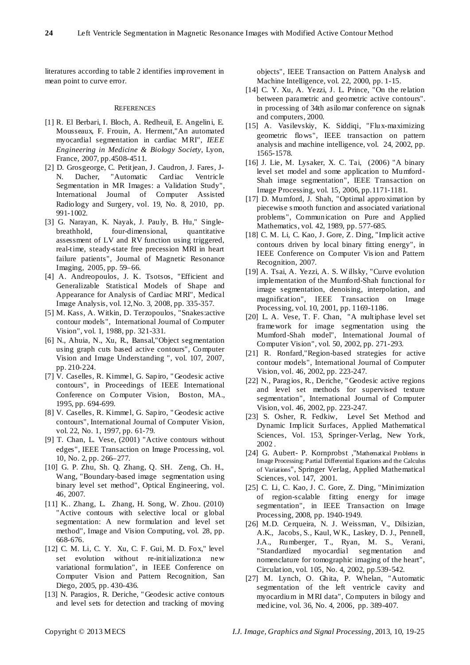literatures according to table 2 identifies improvement in mean point to curve error.

#### **REFERENCES**

- [1] R. El Berbari, I. Bloch, A. Redheuil, E. Angelini, E. Mousseaux, F. Frouin, A. Herment,"An automated myocardial segmentation in cardiac MRI", *IEEE Engineering in Medicine & Biology Society*, Lyon, France, 2007, pp.4508-4511.
- [2] D. Grosgeorge, C. Petitjean, J. Caudron, J. Fares, J-N. Dacher, "Automatic Cardiac Ventricle Segmentation in MR Images: a Validation Study", International Journal of Computer Assisted Radiology and Surgery, vol. 19, No. 8, 2010, pp. 991-1002.
- [3] G. Narayan, K. Nayak, J. Pauly, B. Hu," Singlebreathhold, four-dimensional, quantitative assessment of LV and RV function using triggered, real-time, steady-state free precession MRI in heart failure patients", Journal of Magnetic Resonance Imaging, 2005, pp. 59–66.
- [4] A. Andreopoulos, J. K. Tsotsos, "Efficient and Generalizable Statistical Models of Shape and Appearance for Analysis of Cardiac MRI", Medical Image Analysis, vol. 12,No. 3, 2008, pp. 335-357.
- [5] M. Kass, A. Witkin, D. Terzopoulos, "Snakes:active contour models", International Journal of Computer Vision", vol. 1, 1988, pp. 321-331.
- [6] N., Ahuia, N., Xu, R., Bansal,"Object segmentation using graph cuts based active contours", Computer Vision and Image Understanding ", vol. 107, 2007, pp. 210-224.
- [7] V. Caselles, R. Kimmel, G. Sapiro, " Geodesic active contours", in Proceedings of IEEE International Conference on Computer Vision, Boston, MA., 1995, pp. 694-699.
- [8] V. Caselles, R. Kimmel, G. Sapiro, " Geodesic active contours", International Journal of Computer Vision, vol. 22, No. 1, 1997, pp. 61-79.
- [9] T. Chan, L. Vese, (2001) "Active contours without edges", IEEE Transaction on Image Processing, vol. 10, No. 2, pp. 266–277.
- [10] G. P. Zhu, Sh. Q. Zhang, Q. SH. Zeng, Ch. H., Wang, "Boundary-based image segmentation using binary level set method", Optical Engineering, vol. 46, 2007.
- [11] K.. Zhang, L. Zhang, H. Song, W. Zhou. (2010) "Active contours with selective local or global segmentation: A new formulation and level set method", Image and Vision Computing, vol. 28, pp. 668-676.
- [12] C. M. Li, C. Y. Xu, C. F. Gui, M. D. Fox," level set evolution without re-initialization:a new variational formulation", in IEEE Conference on Computer Vision and Pattern Recognition, San Diego, 2005, pp. 430-436.
- [13] N. Paragios, R. Deriche, " Geodesic active contours and level sets for detection and tracking of moving

objects", IEEE Transaction on Pattern Analysis and Machine Intelligence, vol. 22, 2000, pp. 1-15.

- [14] C. Y. Xu, A. Yezzi, J. L. Prince, "On the relation between parametric and geometric active contours". in processing of 34th asilomar conference on signals and computers, 2000.
- [15] A. Vasilevskiy, K. Siddiqi, "Flux-maximizing geometric flows", IEEE transaction on pattern analysis and machine intelligence, vol. 24, 2002, pp. 1565-1578.
- [16] J. Lie, M. Lysaker, X. C. Tai, (2006) "A binary level set model and some application to Mumford-Shah image segmentation", IEEE Transaction on Image Processing, vol. 15, 2006, pp.1171-1181.
- [17] D. Mumford, J. Shah, "Optimal approximation by piecewise s mooth function and associated variational problems", Communication on Pure and Applied Mathematics, vol. 42, 1989, pp. 577-685.
- [18] C. M. Li, C. Kao, J. Gore, Z. Ding, "Implicit active contours driven by local binary fitting energy", in IEEE Conference on Computer Vis ion and Pattern Recognition, 2007.
- [19] A. Tsai, A. Yezzi, A. S. W illsky, "Curve evolution implementation of the Mumford-Shah functional for image segmentation, denoising, interpolation, and magnification", IEEE Transaction on Image Processing, vol. 10, 2001, pp. 1169-1186.
- [20] L. A. Vese, T. F. Chan, "A multiphase level set framework for image segmentation using the Mumford-Shah model", International Journal of Computer Vision", vol. 50, 2002, pp. 271-293.
- [21] R. Ronfard,"Region-based strategies for active contour models", International Journal of Computer Vision, vol. 46, 2002, pp. 223-247.
- [22] N., Paragios, R., Deriche, " Geodesic active regions and level set methods for supervised texture segmentation", International Journal of Computer Vision, vol. 46, 2002, pp. 223-247.
- [23] S. Osher, R. Fedkiw, Level Set Method and Dynamic Implicit Surfaces, Applied Mathematical Sciences, Vol. 153, Springer-Verlag, New York, 2002 .
- [24] G. Aubert- P. Kornprobst ,["Mathematical Problems in](http://www-sop.inria.fr/robotvis/personnel/pkornp/Book/)  [Image Processing: Partial Differential Equations and the Calculus](http://www-sop.inria.fr/robotvis/personnel/pkornp/Book/)  [of Variations"](http://www-sop.inria.fr/robotvis/personnel/pkornp/Book/), Springer Verlag, Applied Mathematical Sciences, vol. 147, 2001.
- [25] C. Li, C. Kao, J. C. Gore, Z. Ding, "Minimization of region-scalable fitting energy for image segmentation", in IEEE Transaction on Image Processing, 2008, pp. 1940-1949.
- [26] M.D. Cerqueira, N. J. Weissman, V., Dilsizian, A.K., Jacobs, S., Kaul, W K., Laskey, D. J., Pennell, J.A., Rumberger, T., Ryan, M. S., Verani, "Standardized myocardial segmentation and nomenclature for tomographic imaging of the heart", Circulation, vol. 105, No. 4, 2002, pp.539-542.
- [27] M. Lynch, O. Ghita, P. Whelan, "Automatic segmentation of the left ventricle cavity and myocardium in MRI data", Computers in bilogy and medicine, vol. 36, No. 4, 2006, pp. 389-407.